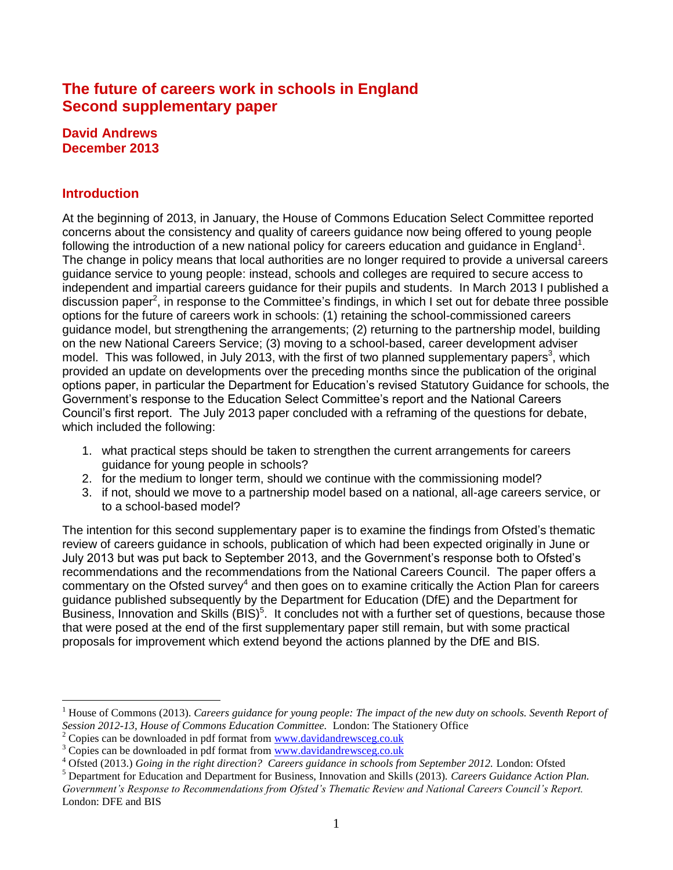# **The future of careers work in schools in England Second supplementary paper**

#### **David Andrews December 2013**

## **Introduction**

 $\overline{a}$ 

At the beginning of 2013, in January, the House of Commons Education Select Committee reported concerns about the consistency and quality of careers guidance now being offered to young people following the introduction of a new national policy for careers education and guidance in England<sup>1</sup>. The change in policy means that local authorities are no longer required to provide a universal careers guidance service to young people: instead, schools and colleges are required to secure access to independent and impartial careers guidance for their pupils and students. In March 2013 I published a discussion paper<sup>2</sup>, in response to the Committee's findings, in which I set out for debate three possible options for the future of careers work in schools: (1) retaining the school-commissioned careers guidance model, but strengthening the arrangements; (2) returning to the partnership model, building on the new National Careers Service; (3) moving to a school-based, career development adviser model. This was followed, in July 2013, with the first of two planned supplementary papers<sup>3</sup>, which provided an update on developments over the preceding months since the publication of the original options paper, in particular the Department for Education's revised Statutory Guidance for schools, the Government's response to the Education Select Committee's report and the National Careers Council's first report. The July 2013 paper concluded with a reframing of the questions for debate, which included the following:

- 1. what practical steps should be taken to strengthen the current arrangements for careers guidance for young people in schools?
- 2. for the medium to longer term, should we continue with the commissioning model?
- 3. if not, should we move to a partnership model based on a national, all-age careers service, or to a school-based model?

The intention for this second supplementary paper is to examine the findings from Ofsted's thematic review of careers guidance in schools, publication of which had been expected originally in June or July 2013 but was put back to September 2013, and the Government's response both to Ofsted's recommendations and the recommendations from the National Careers Council. The paper offers a commentary on the Ofsted survey<sup>4</sup> and then goes on to examine critically the Action Plan for careers guidance published subsequently by the Department for Education (DfE) and the Department for Business, Innovation and Skills (BIS)<sup>5</sup>. It concludes not with a further set of questions, because those that were posed at the end of the first supplementary paper still remain, but with some practical proposals for improvement which extend beyond the actions planned by the DfE and BIS.

<sup>&</sup>lt;sup>1</sup> House of Commons (2013). *Careers guidance for young people: The impact of the new duty on schools. Seventh Report of Session 2012-13, House of Commons Education Committee.* London: The Stationery Office

 $2^{\circ}$  Copies can be downloaded in pdf format from [www.davidandrewsceg.co.uk](http://www.davidandrewsceg.co.uk/)

<sup>&</sup>lt;sup>3</sup> Copies can be downloaded in pdf format from [www.davidandrewsceg.co.uk](http://www.davidandrewsceg.co.uk/)

<sup>&</sup>lt;sup>4</sup> Ofsted (2013.) *Going in the right direction? Careers guidance in schools from September 2012*. London: Ofsted

<sup>5</sup> Department for Education and Department for Business, Innovation and Skills (2013). *Careers Guidance Action Plan. Government's Response to Recommendations from Ofsted's Thematic Review and National Careers Council's Report.*  London: DFE and BIS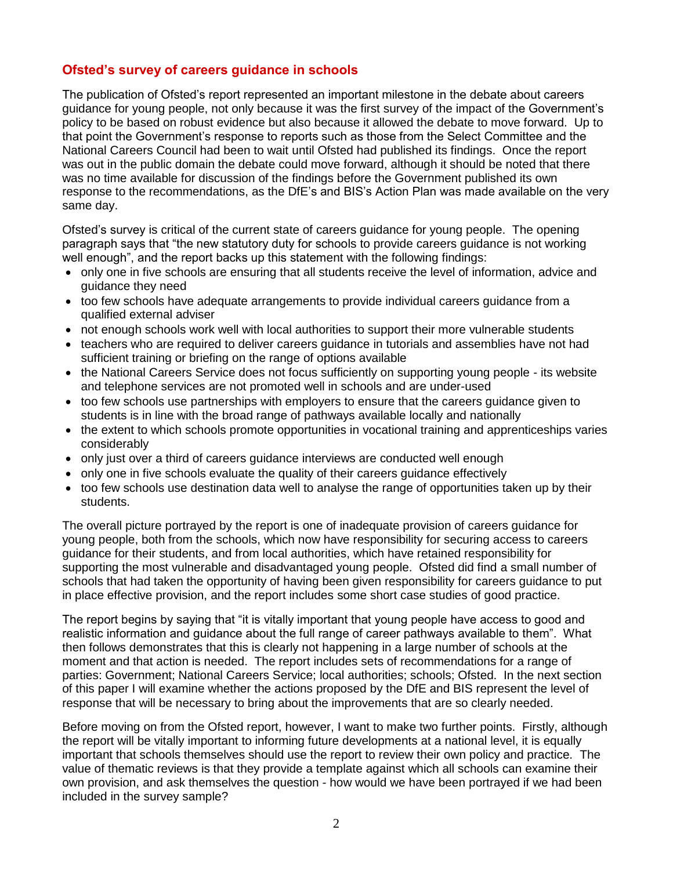### **Ofsted's survey of careers guidance in schools**

The publication of Ofsted's report represented an important milestone in the debate about careers guidance for young people, not only because it was the first survey of the impact of the Government's policy to be based on robust evidence but also because it allowed the debate to move forward. Up to that point the Government's response to reports such as those from the Select Committee and the National Careers Council had been to wait until Ofsted had published its findings. Once the report was out in the public domain the debate could move forward, although it should be noted that there was no time available for discussion of the findings before the Government published its own response to the recommendations, as the DfE's and BIS's Action Plan was made available on the very same day.

Ofsted's survey is critical of the current state of careers guidance for young people. The opening paragraph says that "the new statutory duty for schools to provide careers guidance is not working well enough", and the report backs up this statement with the following findings:

- only one in five schools are ensuring that all students receive the level of information, advice and guidance they need
- too few schools have adequate arrangements to provide individual careers quidance from a qualified external adviser
- not enough schools work well with local authorities to support their more vulnerable students
- teachers who are required to deliver careers guidance in tutorials and assemblies have not had sufficient training or briefing on the range of options available
- the National Careers Service does not focus sufficiently on supporting young people its website and telephone services are not promoted well in schools and are under-used
- too few schools use partnerships with employers to ensure that the careers guidance given to students is in line with the broad range of pathways available locally and nationally
- the extent to which schools promote opportunities in vocational training and apprenticeships varies considerably
- only just over a third of careers guidance interviews are conducted well enough
- only one in five schools evaluate the quality of their careers guidance effectively
- too few schools use destination data well to analyse the range of opportunities taken up by their students.

The overall picture portrayed by the report is one of inadequate provision of careers guidance for young people, both from the schools, which now have responsibility for securing access to careers guidance for their students, and from local authorities, which have retained responsibility for supporting the most vulnerable and disadvantaged young people. Ofsted did find a small number of schools that had taken the opportunity of having been given responsibility for careers guidance to put in place effective provision, and the report includes some short case studies of good practice.

The report begins by saying that "it is vitally important that young people have access to good and realistic information and guidance about the full range of career pathways available to them". What then follows demonstrates that this is clearly not happening in a large number of schools at the moment and that action is needed. The report includes sets of recommendations for a range of parties: Government; National Careers Service; local authorities; schools; Ofsted. In the next section of this paper I will examine whether the actions proposed by the DfE and BIS represent the level of response that will be necessary to bring about the improvements that are so clearly needed.

Before moving on from the Ofsted report, however, I want to make two further points. Firstly, although the report will be vitally important to informing future developments at a national level, it is equally important that schools themselves should use the report to review their own policy and practice. The value of thematic reviews is that they provide a template against which all schools can examine their own provision, and ask themselves the question - how would we have been portrayed if we had been included in the survey sample?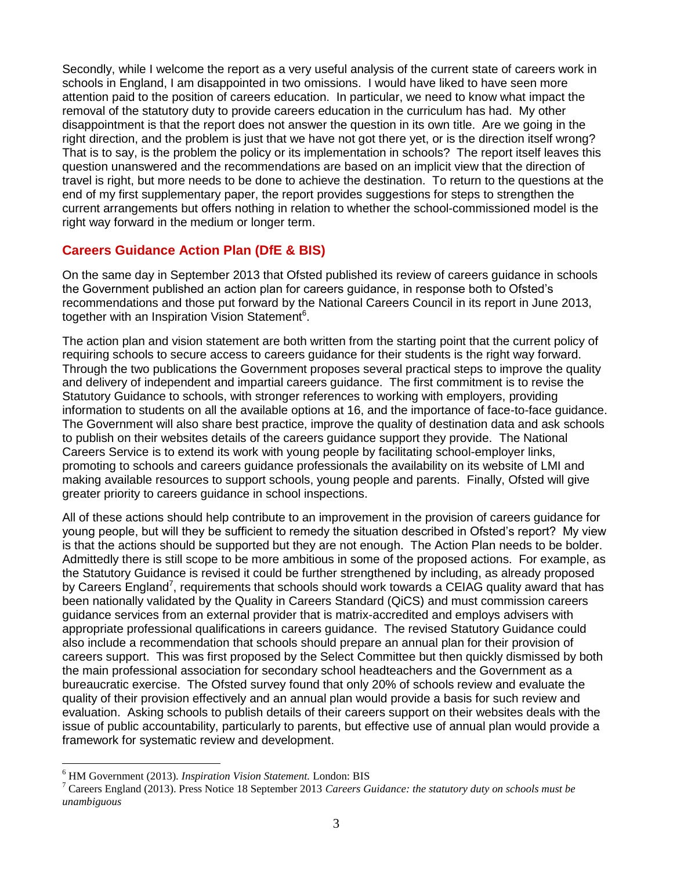Secondly, while I welcome the report as a very useful analysis of the current state of careers work in schools in England, I am disappointed in two omissions. I would have liked to have seen more attention paid to the position of careers education. In particular, we need to know what impact the removal of the statutory duty to provide careers education in the curriculum has had. My other disappointment is that the report does not answer the question in its own title. Are we going in the right direction, and the problem is just that we have not got there yet, or is the direction itself wrong? That is to say, is the problem the policy or its implementation in schools? The report itself leaves this question unanswered and the recommendations are based on an implicit view that the direction of travel is right, but more needs to be done to achieve the destination. To return to the questions at the end of my first supplementary paper, the report provides suggestions for steps to strengthen the current arrangements but offers nothing in relation to whether the school-commissioned model is the right way forward in the medium or longer term.

### **Careers Guidance Action Plan (DfE & BIS)**

On the same day in September 2013 that Ofsted published its review of careers guidance in schools the Government published an action plan for careers guidance, in response both to Ofsted's recommendations and those put forward by the National Careers Council in its report in June 2013, together with an Inspiration Vision Statement<sup>6</sup>.

The action plan and vision statement are both written from the starting point that the current policy of requiring schools to secure access to careers guidance for their students is the right way forward. Through the two publications the Government proposes several practical steps to improve the quality and delivery of independent and impartial careers guidance. The first commitment is to revise the Statutory Guidance to schools, with stronger references to working with employers, providing information to students on all the available options at 16, and the importance of face-to-face guidance. The Government will also share best practice, improve the quality of destination data and ask schools to publish on their websites details of the careers guidance support they provide. The National Careers Service is to extend its work with young people by facilitating school-employer links, promoting to schools and careers guidance professionals the availability on its website of LMI and making available resources to support schools, young people and parents. Finally, Ofsted will give greater priority to careers guidance in school inspections.

All of these actions should help contribute to an improvement in the provision of careers guidance for young people, but will they be sufficient to remedy the situation described in Ofsted's report? My view is that the actions should be supported but they are not enough. The Action Plan needs to be bolder. Admittedly there is still scope to be more ambitious in some of the proposed actions. For example, as the Statutory Guidance is revised it could be further strengthened by including, as already proposed by Careers England<sup>7</sup>, requirements that schools should work towards a CEIAG quality award that has been nationally validated by the Quality in Careers Standard (QiCS) and must commission careers guidance services from an external provider that is matrix-accredited and employs advisers with appropriate professional qualifications in careers guidance. The revised Statutory Guidance could also include a recommendation that schools should prepare an annual plan for their provision of careers support. This was first proposed by the Select Committee but then quickly dismissed by both the main professional association for secondary school headteachers and the Government as a bureaucratic exercise. The Ofsted survey found that only 20% of schools review and evaluate the quality of their provision effectively and an annual plan would provide a basis for such review and evaluation. Asking schools to publish details of their careers support on their websites deals with the issue of public accountability, particularly to parents, but effective use of annual plan would provide a framework for systematic review and development.

 $\overline{a}$ 

<sup>6</sup> HM Government (2013). *Inspiration Vision Statement.* London: BIS

<sup>7</sup> Careers England (2013). Press Notice 18 September 2013 *Careers Guidance: the statutory duty on schools must be unambiguous*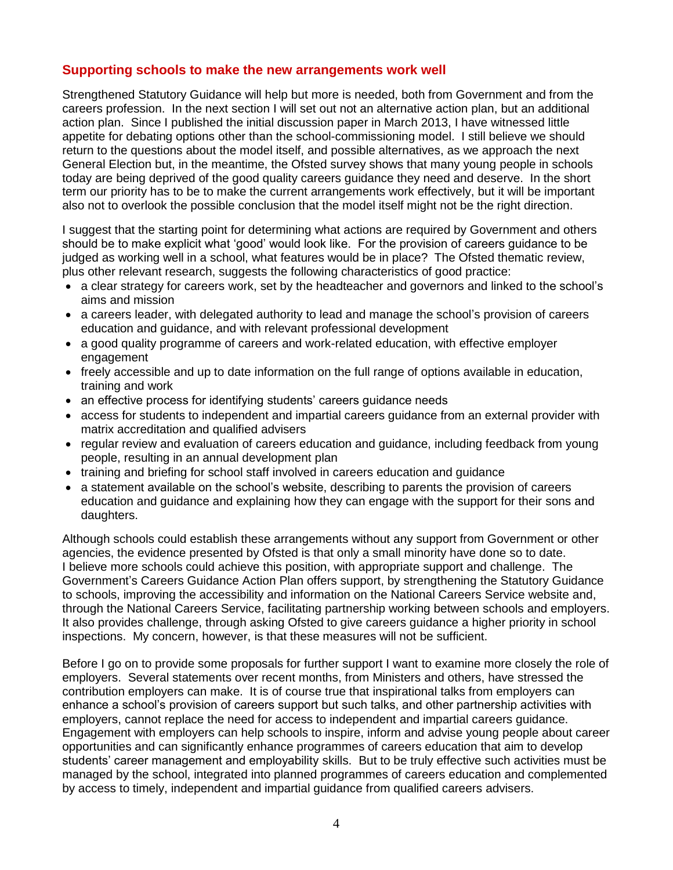#### **Supporting schools to make the new arrangements work well**

Strengthened Statutory Guidance will help but more is needed, both from Government and from the careers profession. In the next section I will set out not an alternative action plan, but an additional action plan. Since I published the initial discussion paper in March 2013, I have witnessed little appetite for debating options other than the school-commissioning model. I still believe we should return to the questions about the model itself, and possible alternatives, as we approach the next General Election but, in the meantime, the Ofsted survey shows that many young people in schools today are being deprived of the good quality careers guidance they need and deserve. In the short term our priority has to be to make the current arrangements work effectively, but it will be important also not to overlook the possible conclusion that the model itself might not be the right direction.

I suggest that the starting point for determining what actions are required by Government and others should be to make explicit what 'good' would look like. For the provision of careers guidance to be judged as working well in a school, what features would be in place? The Ofsted thematic review, plus other relevant research, suggests the following characteristics of good practice:

- a clear strategy for careers work, set by the headteacher and governors and linked to the school's aims and mission
- a careers leader, with delegated authority to lead and manage the school's provision of careers education and guidance, and with relevant professional development
- a good quality programme of careers and work-related education, with effective employer engagement
- freely accessible and up to date information on the full range of options available in education, training and work
- an effective process for identifying students' careers quidance needs
- access for students to independent and impartial careers guidance from an external provider with matrix accreditation and qualified advisers
- regular review and evaluation of careers education and guidance, including feedback from young people, resulting in an annual development plan
- training and briefing for school staff involved in careers education and guidance
- a statement available on the school's website, describing to parents the provision of careers education and guidance and explaining how they can engage with the support for their sons and daughters.

Although schools could establish these arrangements without any support from Government or other agencies, the evidence presented by Ofsted is that only a small minority have done so to date. I believe more schools could achieve this position, with appropriate support and challenge. The Government's Careers Guidance Action Plan offers support, by strengthening the Statutory Guidance to schools, improving the accessibility and information on the National Careers Service website and, through the National Careers Service, facilitating partnership working between schools and employers. It also provides challenge, through asking Ofsted to give careers guidance a higher priority in school inspections. My concern, however, is that these measures will not be sufficient.

Before I go on to provide some proposals for further support I want to examine more closely the role of employers. Several statements over recent months, from Ministers and others, have stressed the contribution employers can make. It is of course true that inspirational talks from employers can enhance a school's provision of careers support but such talks, and other partnership activities with employers, cannot replace the need for access to independent and impartial careers guidance. Engagement with employers can help schools to inspire, inform and advise young people about career opportunities and can significantly enhance programmes of careers education that aim to develop students' career management and employability skills. But to be truly effective such activities must be managed by the school, integrated into planned programmes of careers education and complemented by access to timely, independent and impartial guidance from qualified careers advisers.